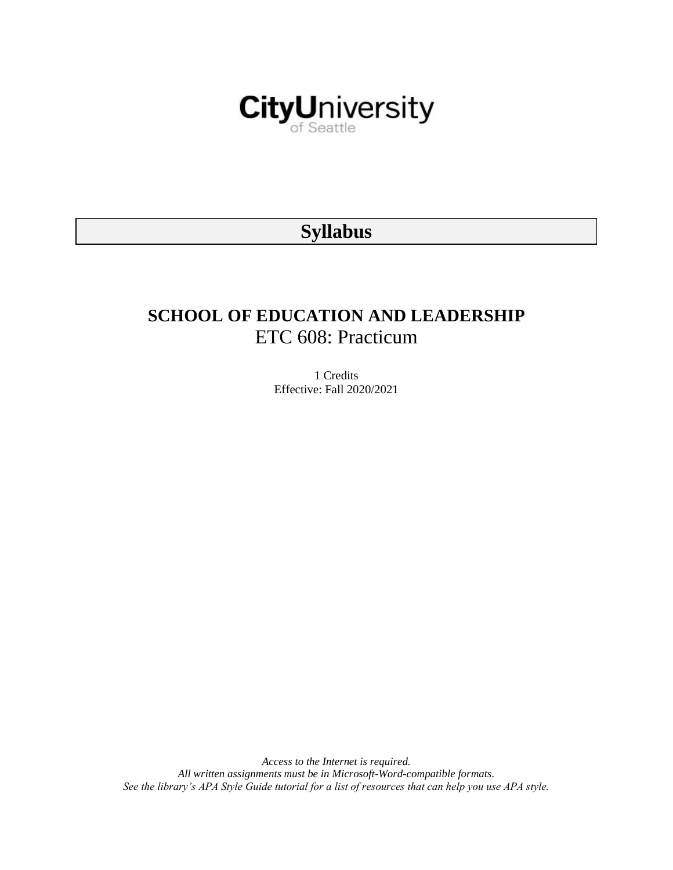

# **Syllabus**

# **SCHOOL OF EDUCATION AND LEADERSHIP** ETC 608: Practicum

1 Credits Effective: Fall 2020/2021

*Access to the Internet is required. All written assignments must be in Microsoft-Word-compatible formats. See the library's APA Style Guide tutorial for a list of resources that can help you use APA style.*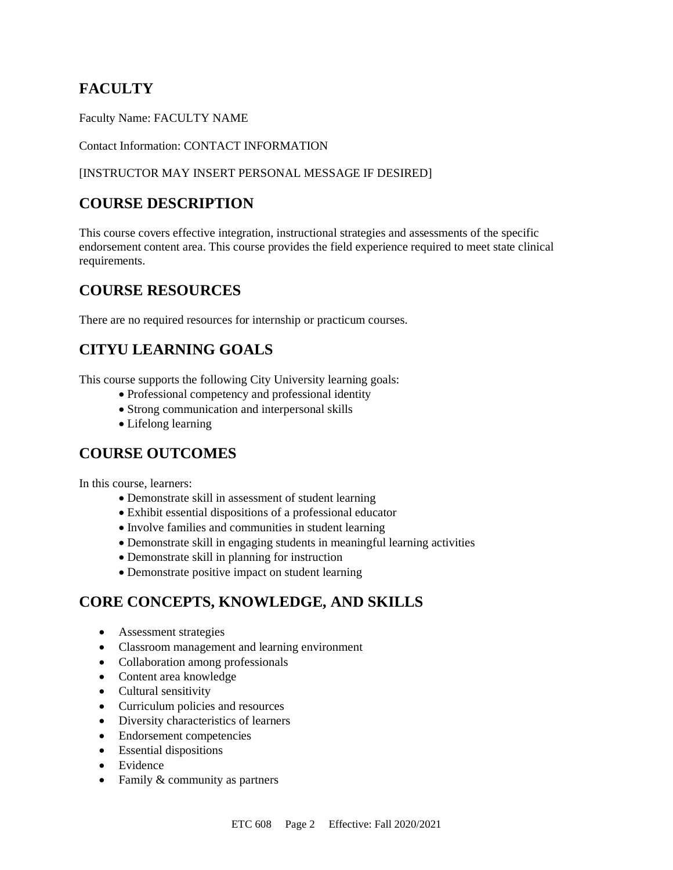# **FACULTY**

Faculty Name: FACULTY NAME

Contact Information: CONTACT INFORMATION

#### [INSTRUCTOR MAY INSERT PERSONAL MESSAGE IF DESIRED]

# **COURSE DESCRIPTION**

This course covers effective integration, instructional strategies and assessments of the specific endorsement content area. This course provides the field experience required to meet state clinical requirements.

### **COURSE RESOURCES**

There are no required resources for internship or practicum courses.

# **CITYU LEARNING GOALS**

This course supports the following City University learning goals:

- Professional competency and professional identity
- Strong communication and interpersonal skills
- Lifelong learning

### **COURSE OUTCOMES**

In this course, learners:

- Demonstrate skill in assessment of student learning
- Exhibit essential dispositions of a professional educator
- Involve families and communities in student learning
- Demonstrate skill in engaging students in meaningful learning activities
- Demonstrate skill in planning for instruction
- Demonstrate positive impact on student learning

# **CORE CONCEPTS, KNOWLEDGE, AND SKILLS**

- Assessment strategies
- Classroom management and learning environment
- Collaboration among professionals
- Content area knowledge
- Cultural sensitivity
- Curriculum policies and resources
- Diversity characteristics of learners
- Endorsement competencies
- Essential dispositions
- Evidence
- Family & community as partners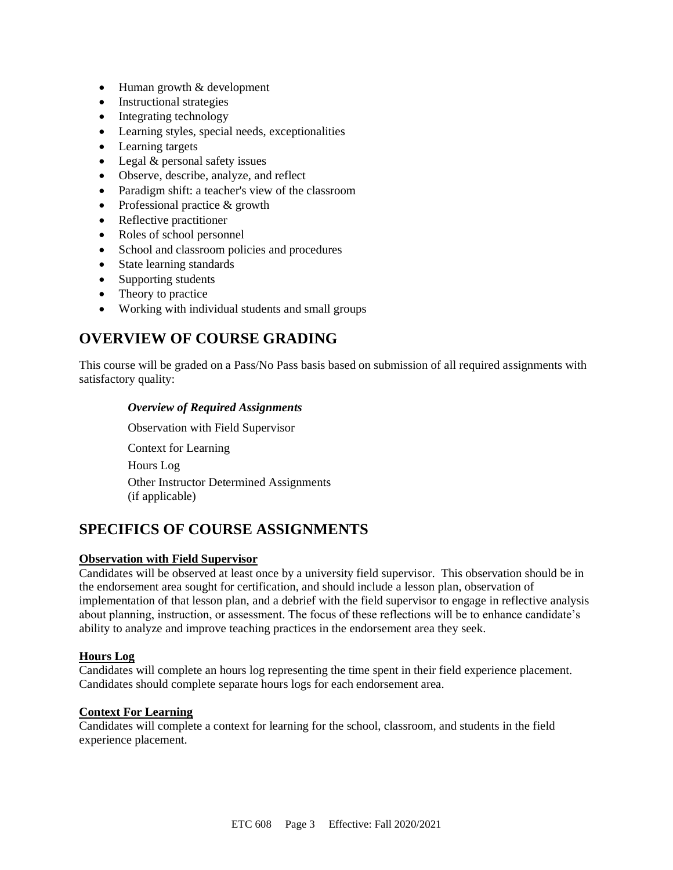- Human growth & development
- Instructional strategies
- Integrating technology
- Learning styles, special needs, exceptionalities
- Learning targets
- Legal & personal safety issues
- Observe, describe, analyze, and reflect
- Paradigm shift: a teacher's view of the classroom
- Professional practice & growth
- Reflective practitioner
- Roles of school personnel
- School and classroom policies and procedures
- State learning standards
- Supporting students
- Theory to practice
- Working with individual students and small groups

# **OVERVIEW OF COURSE GRADING**

This course will be graded on a Pass/No Pass basis based on submission of all required assignments with satisfactory quality:

#### *Overview of Required Assignments*

Observation with Field Supervisor Context for Learning Hours Log Other Instructor Determined Assignments (if applicable)

# **SPECIFICS OF COURSE ASSIGNMENTS**

#### **Observation with Field Supervisor**

Candidates will be observed at least once by a university field supervisor. This observation should be in the endorsement area sought for certification, and should include a lesson plan, observation of implementation of that lesson plan, and a debrief with the field supervisor to engage in reflective analysis about planning, instruction, or assessment. The focus of these reflections will be to enhance candidate's ability to analyze and improve teaching practices in the endorsement area they seek.

#### **Hours Log**

Candidates will complete an hours log representing the time spent in their field experience placement. Candidates should complete separate hours logs for each endorsement area.

#### **Context For Learning**

Candidates will complete a context for learning for the school, classroom, and students in the field experience placement.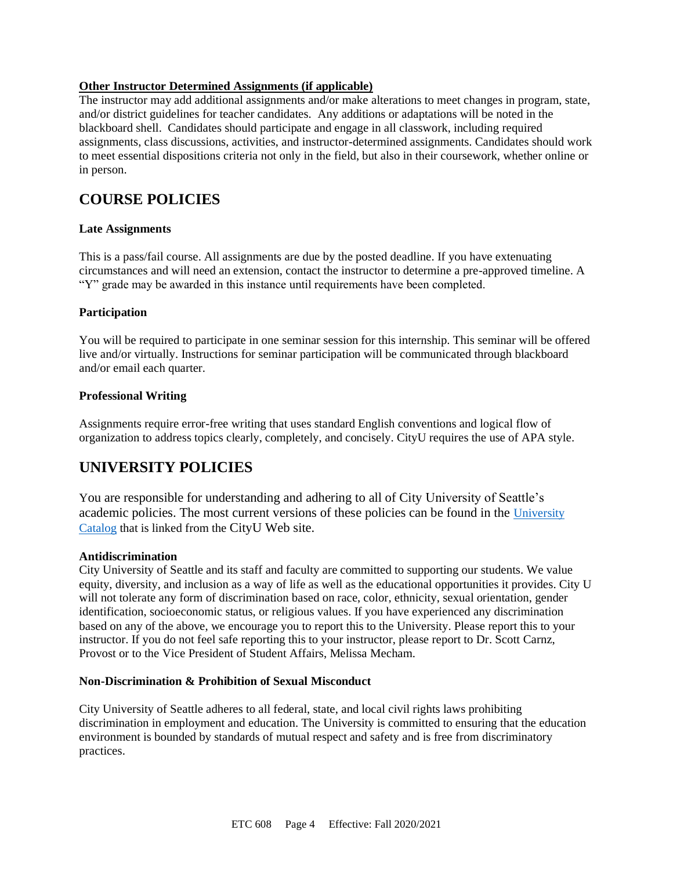#### **Other Instructor Determined Assignments (if applicable)**

The instructor may add additional assignments and/or make alterations to meet changes in program, state, and/or district guidelines for teacher candidates. Any additions or adaptations will be noted in the blackboard shell. Candidates should participate and engage in all classwork, including required assignments, class discussions, activities, and instructor-determined assignments. Candidates should work to meet essential dispositions criteria not only in the field, but also in their coursework, whether online or in person.

### **COURSE POLICIES**

#### **Late Assignments**

This is a pass/fail course. All assignments are due by the posted deadline. If you have extenuating circumstances and will need an extension, contact the instructor to determine a pre-approved timeline. A "Y" grade may be awarded in this instance until requirements have been completed.

#### **Participation**

You will be required to participate in one seminar session for this internship. This seminar will be offered live and/or virtually. Instructions for seminar participation will be communicated through blackboard and/or email each quarter.

#### **Professional Writing**

Assignments require error-free writing that uses standard English conventions and logical flow of organization to address topics clearly, completely, and concisely. CityU requires the use of APA style.

# **UNIVERSITY POLICIES**

You are responsible for understanding and adhering to all of City University of Seattle's academic policies. The most current versions of these policies can be found in the [University](https://www.cityu.edu/catalog/)  [Catalog](https://www.cityu.edu/catalog/) that is linked from the CityU Web site.

#### **Antidiscrimination**

City University of Seattle and its staff and faculty are committed to supporting our students. We value equity, diversity, and inclusion as a way of life as well as the educational opportunities it provides. City U will not tolerate any form of discrimination based on race, color, ethnicity, sexual orientation, gender identification, socioeconomic status, or religious values. If you have experienced any discrimination based on any of the above, we encourage you to report this to the University. Please report this to your instructor. If you do not feel safe reporting this to your instructor, please report to Dr. Scott Carnz, Provost or to the Vice President of Student Affairs, Melissa Mecham.

#### **Non-Discrimination & Prohibition of Sexual Misconduct**

City University of Seattle adheres to all federal, state, and local civil rights laws prohibiting discrimination in employment and education. The University is committed to ensuring that the education environment is bounded by standards of mutual respect and safety and is free from discriminatory practices.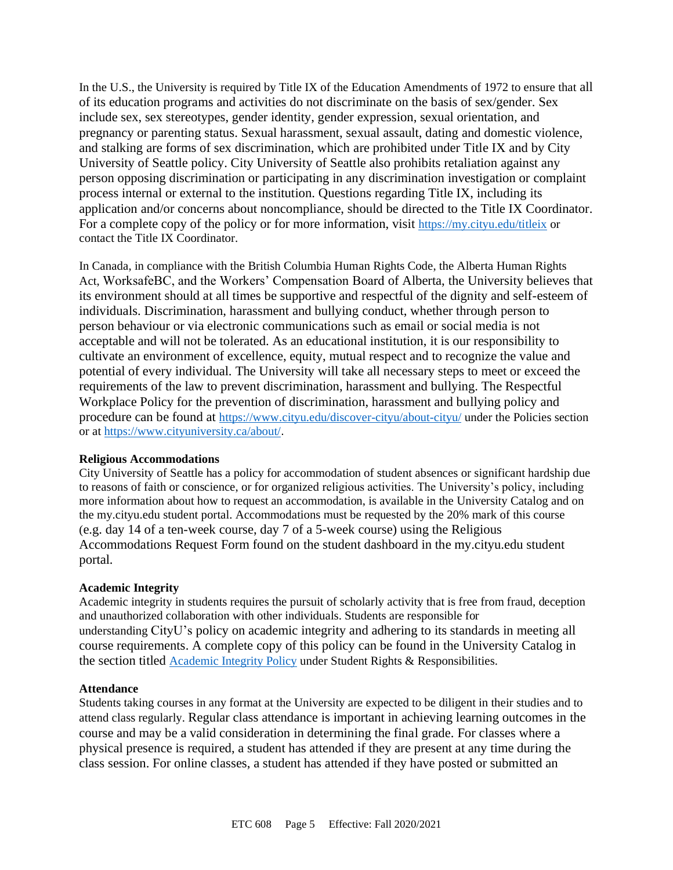In the U.S., the University is required by Title IX of the Education Amendments of 1972 to ensure that all of its education programs and activities do not discriminate on the basis of sex/gender. Sex include sex, sex stereotypes, gender identity, gender expression, sexual orientation, and pregnancy or parenting status. Sexual harassment, sexual assault, dating and domestic violence, and stalking are forms of sex discrimination, which are prohibited under Title IX and by City University of Seattle policy. City University of Seattle also prohibits retaliation against any person opposing discrimination or participating in any discrimination investigation or complaint process internal or external to the institution. Questions regarding Title IX, including its application and/or concerns about noncompliance, should be directed to the Title IX Coordinator. For a complete copy of the policy or for more information, visit <https://my.cityu.edu/titleix> or contact the Title IX Coordinator.

In Canada, in compliance with the British Columbia Human Rights Code, the Alberta Human Rights Act, WorksafeBC, and the Workers' Compensation Board of Alberta, the University believes that its environment should at all times be supportive and respectful of the dignity and self-esteem of individuals. Discrimination, harassment and bullying conduct, whether through person to person behaviour or via electronic communications such as email or social media is not acceptable and will not be tolerated. As an educational institution, it is our responsibility to cultivate an environment of excellence, equity, mutual respect and to recognize the value and potential of every individual. The University will take all necessary steps to meet or exceed the requirements of the law to prevent discrimination, harassment and bullying. The Respectful Workplace Policy for the prevention of discrimination, harassment and bullying policy and procedure can be found at <https://www.cityu.edu/discover-cityu/about-cityu/> under the Policies section or at <https://www.cityuniversity.ca/about/>.

#### **Religious Accommodations**

City University of Seattle has a policy for accommodation of student absences or significant hardship due to reasons of faith or conscience, or for organized religious activities. The University's policy, including more information about how to request an accommodation, is available in the University Catalog and on the my.cityu.edu student portal. Accommodations must be requested by the 20% mark of this course (e.g. day 14 of a ten-week course, day 7 of a 5-week course) using the Religious Accommodations Request Form found on the student dashboard in the my.cityu.edu student portal.

#### **Academic Integrity**

Academic integrity in students requires the pursuit of scholarly activity that is free from fraud, deception and unauthorized collaboration with other individuals. Students are responsible for understanding CityU's policy on academic integrity and adhering to its standards in meeting all course requirements. A complete copy of this policy can be found in the University Catalog in the section titled [Academic Integrity Policy](https://www.cityu.edu/catalog/;) under Student Rights & Responsibilities.

#### **Attendance**

Students taking courses in any format at the University are expected to be diligent in their studies and to attend class regularly. Regular class attendance is important in achieving learning outcomes in the course and may be a valid consideration in determining the final grade. For classes where a physical presence is required, a student has attended if they are present at any time during the class session. For online classes, a student has attended if they have posted or submitted an